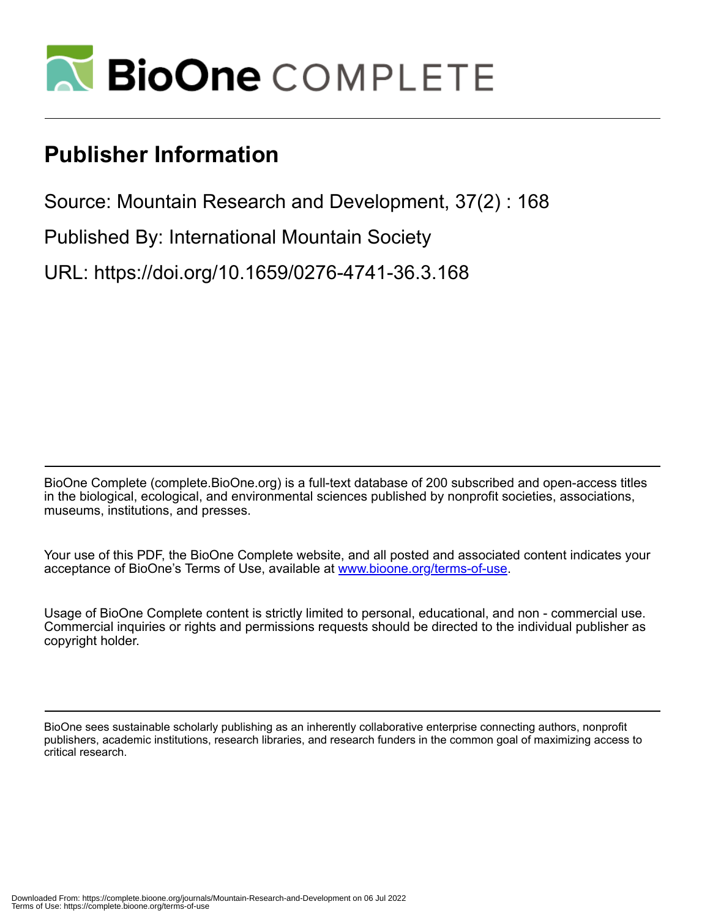

# **Publisher Information**

Source: Mountain Research and Development, 37(2) : 168

Published By: International Mountain Society

URL: https://doi.org/10.1659/0276-4741-36.3.168

BioOne Complete (complete.BioOne.org) is a full-text database of 200 subscribed and open-access titles in the biological, ecological, and environmental sciences published by nonprofit societies, associations, museums, institutions, and presses.

Your use of this PDF, the BioOne Complete website, and all posted and associated content indicates your acceptance of BioOne's Terms of Use, available at www.bioone.org/terms-of-use.

Usage of BioOne Complete content is strictly limited to personal, educational, and non - commercial use. Commercial inquiries or rights and permissions requests should be directed to the individual publisher as copyright holder.

BioOne sees sustainable scholarly publishing as an inherently collaborative enterprise connecting authors, nonprofit publishers, academic institutions, research libraries, and research funders in the common goal of maximizing access to critical research.